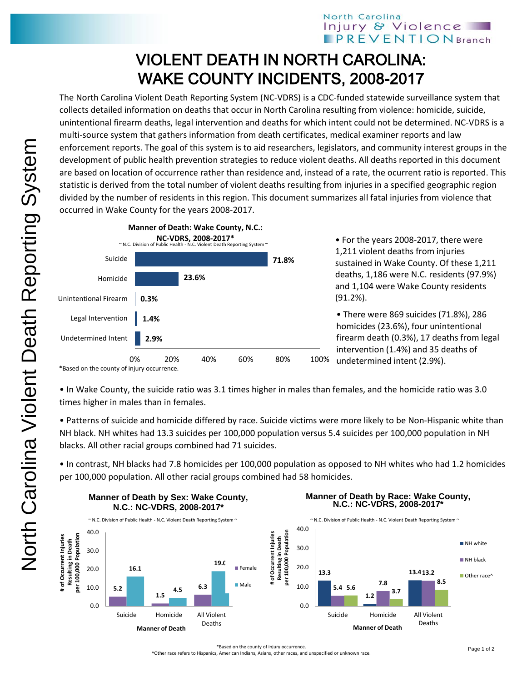## North Carolina Injury & Violence **IPREVENTIONBranch**

## VIOLENT DEATH IN NORTH CAROLINA: WAKE COUNTY INCIDENTS, 2008-2017

The North Carolina Violent Death Reporting System (NC-VDRS) is a CDC-funded statewide surveillance system that collects detailed information on deaths that occur in North Carolina resulting from violence: homicide, suicide, unintentional firearm deaths, legal intervention and deaths for which intent could not be determined. NC-VDRS is a multi-source system that gathers information from death certificates, medical examiner reports and law enforcement reports. The goal of this system is to aid researchers, legislators, and community interest groups in the development of public health prevention strategies to reduce violent deaths. All deaths reported in this document are based on location of occurrence rather than residence and, instead of a rate, the ocurrent ratio is reported. This statistic is derived from the total number of violent deaths resulting from injuries in a specified geographic region divided by the number of residents in this region. This document summarizes all fatal injuries from violence that occurred in Wake County for the years 2008-2017.



• For the years 2008-2017, there were 1,211 violent deaths from injuries sustained in Wake County. Of these 1,211 deaths, 1,186 were N.C. residents (97.9%) and 1,104 were Wake County residents (91.2%).

• There were 869 suicides (71.8%), 286 homicides (23.6%), four unintentional firearm death (0.3%), 17 deaths from legal intervention (1.4%) and 35 deaths of undetermined intent (2.9%).

• In Wake County, the suicide ratio was 3.1 times higher in males than females, and the homicide ratio was 3.0 times higher in males than in females.

• Patterns of suicide and homicide differed by race. Suicide victims were more likely to be Non-Hispanic white than NH black. NH whites had 13.3 suicides per 100,000 population versus 5.4 suicides per 100,000 population in NH blacks. All other racial groups combined had 71 suicides.

• In contrast, NH blacks had 7.8 homicides per 100,000 population as opposed to NH whites who had 1.2 homicides per 100,000 population. All other racial groups combined had 58 homicides.



\*Based on the county of injury occurrence.

^Other race refers to Hispanics, American Indians, Asians, other races, and unspecified or unknown race.

<sup>\*</sup>Based on the county of injury occurrence.